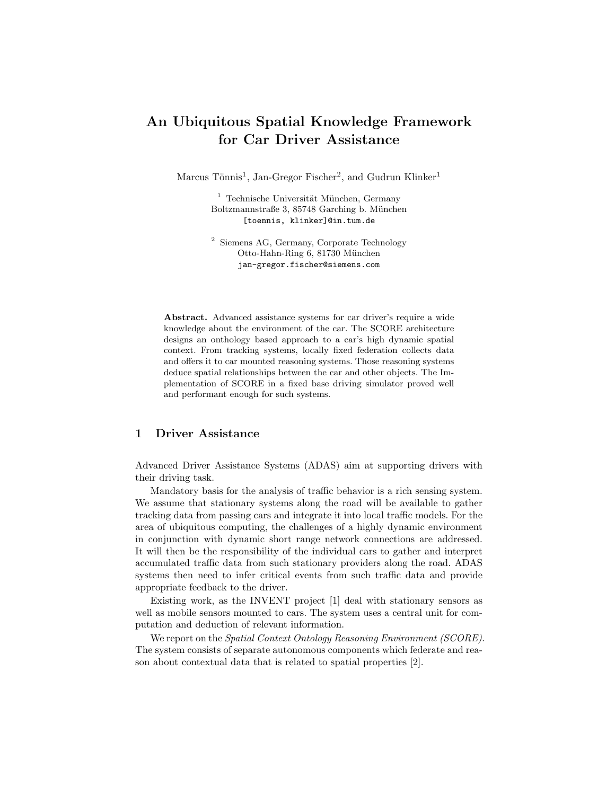# An Ubiquitous Spatial Knowledge Framework for Car Driver Assistance

Marcus Tönnis<sup>1</sup>, Jan-Gregor Fischer<sup>2</sup>, and Gudrun Klinker<sup>1</sup>

 $<sup>1</sup>$  Technische Universität München, Germany</sup> Boltzmannstraße 3, 85748 Garching b. München [toennis, klinker]@in.tum.de

<sup>2</sup> Siemens AG, Germany, Corporate Technology Otto-Hahn-Ring 6, 81730 München jan-gregor.fischer@siemens.com

Abstract. Advanced assistance systems for car driver's require a wide knowledge about the environment of the car. The SCORE architecture designs an onthology based approach to a car's high dynamic spatial context. From tracking systems, locally fixed federation collects data and offers it to car mounted reasoning systems. Those reasoning systems deduce spatial relationships between the car and other objects. The Implementation of SCORE in a fixed base driving simulator proved well and performant enough for such systems.

## 1 Driver Assistance

Advanced Driver Assistance Systems (ADAS) aim at supporting drivers with their driving task.

Mandatory basis for the analysis of traffic behavior is a rich sensing system. We assume that stationary systems along the road will be available to gather tracking data from passing cars and integrate it into local traffic models. For the area of ubiquitous computing, the challenges of a highly dynamic environment in conjunction with dynamic short range network connections are addressed. It will then be the responsibility of the individual cars to gather and interpret accumulated traffic data from such stationary providers along the road. ADAS systems then need to infer critical events from such traffic data and provide appropriate feedback to the driver.

Existing work, as the INVENT project [1] deal with stationary sensors as well as mobile sensors mounted to cars. The system uses a central unit for computation and deduction of relevant information.

We report on the *Spatial Context Ontology Reasoning Environment (SCORE)*. The system consists of separate autonomous components which federate and reason about contextual data that is related to spatial properties [2].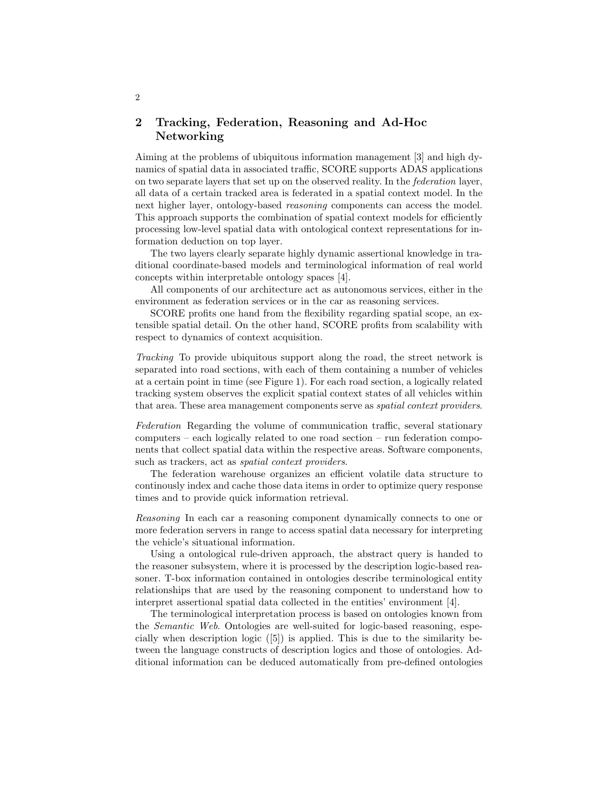## 2 Tracking, Federation, Reasoning and Ad-Hoc Networking

Aiming at the problems of ubiquitous information management [3] and high dynamics of spatial data in associated traffic, SCORE supports ADAS applications on two separate layers that set up on the observed reality. In the federation layer, all data of a certain tracked area is federated in a spatial context model. In the next higher layer, ontology-based reasoning components can access the model. This approach supports the combination of spatial context models for efficiently processing low-level spatial data with ontological context representations for information deduction on top layer.

The two layers clearly separate highly dynamic assertional knowledge in traditional coordinate-based models and terminological information of real world concepts within interpretable ontology spaces [4].

All components of our architecture act as autonomous services, either in the environment as federation services or in the car as reasoning services.

SCORE profits one hand from the flexibility regarding spatial scope, an extensible spatial detail. On the other hand, SCORE profits from scalability with respect to dynamics of context acquisition.

Tracking To provide ubiquitous support along the road, the street network is separated into road sections, with each of them containing a number of vehicles at a certain point in time (see Figure 1). For each road section, a logically related tracking system observes the explicit spatial context states of all vehicles within that area. These area management components serve as spatial context providers.

Federation Regarding the volume of communication traffic, several stationary computers – each logically related to one road section – run federation components that collect spatial data within the respective areas. Software components, such as trackers, act as *spatial context providers*.

The federation warehouse organizes an efficient volatile data structure to continously index and cache those data items in order to optimize query response times and to provide quick information retrieval.

Reasoning In each car a reasoning component dynamically connects to one or more federation servers in range to access spatial data necessary for interpreting the vehicle's situational information.

Using a ontological rule-driven approach, the abstract query is handed to the reasoner subsystem, where it is processed by the description logic-based reasoner. T-box information contained in ontologies describe terminological entity relationships that are used by the reasoning component to understand how to interpret assertional spatial data collected in the entities' environment [4].

The terminological interpretation process is based on ontologies known from the Semantic Web. Ontologies are well-suited for logic-based reasoning, especially when description logic  $([5])$  is applied. This is due to the similarity between the language constructs of description logics and those of ontologies. Additional information can be deduced automatically from pre-defined ontologies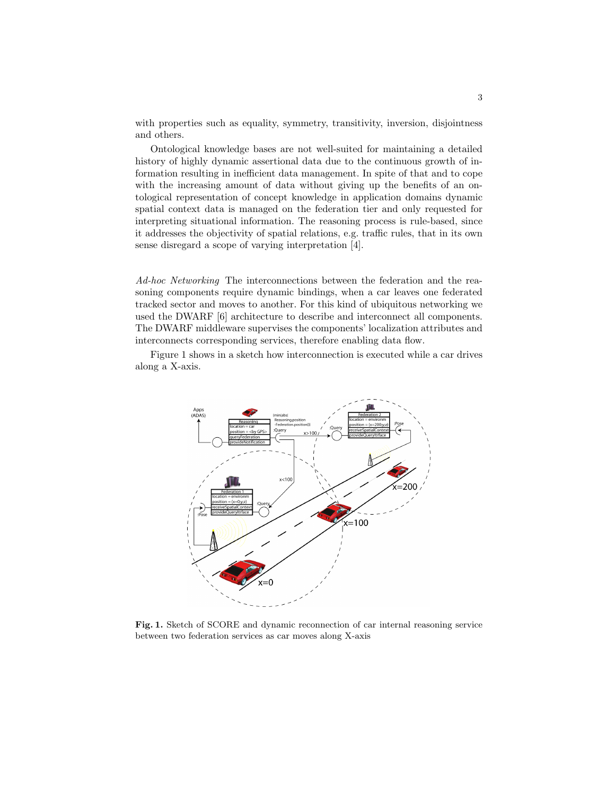with properties such as equality, symmetry, transitivity, inversion, disjointness and others.

Ontological knowledge bases are not well-suited for maintaining a detailed history of highly dynamic assertional data due to the continuous growth of information resulting in inefficient data management. In spite of that and to cope with the increasing amount of data without giving up the benefits of an ontological representation of concept knowledge in application domains dynamic spatial context data is managed on the federation tier and only requested for interpreting situational information. The reasoning process is rule-based, since it addresses the objectivity of spatial relations, e.g. traffic rules, that in its own sense disregard a scope of varying interpretation [4].

Ad-hoc Networking The interconnections between the federation and the reasoning components require dynamic bindings, when a car leaves one federated tracked sector and moves to another. For this kind of ubiquitous networking we used the DWARF [6] architecture to describe and interconnect all components. The DWARF middleware supervises the components' localization attributes and interconnects corresponding services, therefore enabling data flow.

Figure 1 shows in a sketch how interconnection is executed while a car drives along a X-axis.



Fig. 1. Sketch of SCORE and dynamic reconnection of car internal reasoning service between two federation services as car moves along X-axis